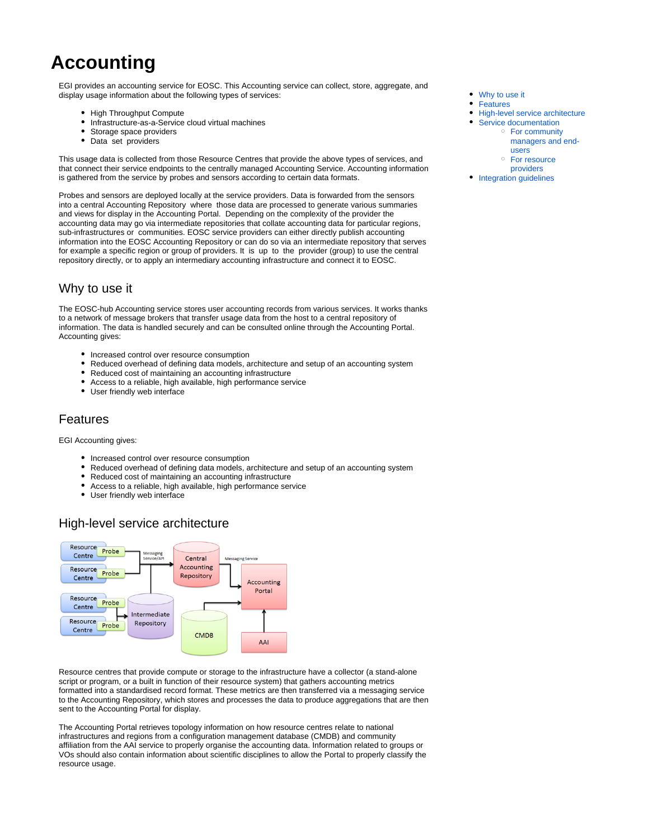# **Accounting**

EGI provides an accounting service for EOSC. This Accounting service can collect, store, aggregate, and display usage information about the following types of services:

- High Throughput Compute
- Infrastructure-as-a-Service cloud virtual machines
- Storage space providers
- $\bullet$ Data set providers

This usage data is collected from those Resource Centres that provide the above types of services, and that connect their service endpoints to the centrally managed Accounting Service. Accounting information is gathered from the service by probes and sensors according to certain data formats.

Probes and sensors are deployed locally at the service providers. Data is forwarded from the sensors into a central Accounting Repository where those data are processed to generate various summaries and views for display in the Accounting Portal. Depending on the complexity of the provider the accounting data may go via intermediate repositories that collate accounting data for particular regions, sub-infrastructures or communities. EOSC service providers can either directly publish accounting information into the EOSC Accounting Repository or can do so via an intermediate repository that serves for example a specific region or group of providers. It is up to the provider (group) to use the central repository directly, or to apply an intermediary accounting infrastructure and connect it to EOSC.

## <span id="page-0-0"></span>Why to use it

The EOSC-hub Accounting service stores user accounting records from various services. It works thanks to a network of message brokers that transfer usage data from the host to a central repository of information. The data is handled securely and can be consulted online through the Accounting Portal. Accounting gives:

- Increased control over resource consumption
- Reduced overhead of defining data models, architecture and setup of an accounting system
- Reduced cost of maintaining an accounting infrastructure
- Access to a reliable, high available, high performance service
- User friendly web interface

#### <span id="page-0-1"></span>Features

EGI Accounting gives:

- Increased control over resource consumption
- Reduced overhead of defining data models, architecture and setup of an accounting system
- Reduced cost of maintaining an accounting infrastructure
- Access to a reliable, high available, high performance service
- User friendly web interface

### High-level service architecture

<span id="page-0-2"></span>

Resource centres that provide compute or storage to the infrastructure have a collector (a stand-alone script or program, or a built in function of their resource system) that gathers accounting metrics formatted into a standardised record format. These metrics are then transferred via a messaging service to the Accounting Repository, which stores and processes the data to produce aggregations that are then sent to the Accounting Portal for display.

The Accounting Portal retrieves topology information on how resource centres relate to national infrastructures and regions from a configuration management database (CMDB) and community affiliation from the AAI service to properly organise the accounting data. Information related to groups or VOs should also contain information about scientific disciplines to allow the Portal to properly classify the resource usage.

- [Why to use it](#page-0-0)
- [Features](#page-0-1)
- [High-level service architecture](#page-0-2)  $\bullet$
- [Service documentation](#page-1-0) [For community](#page-1-1) 
	- [managers and end](#page-1-1)[users](#page-1-1)
	- <sup>o</sup> For resource [providers](#page-1-2)
- [Integration guidelines](#page-1-3)